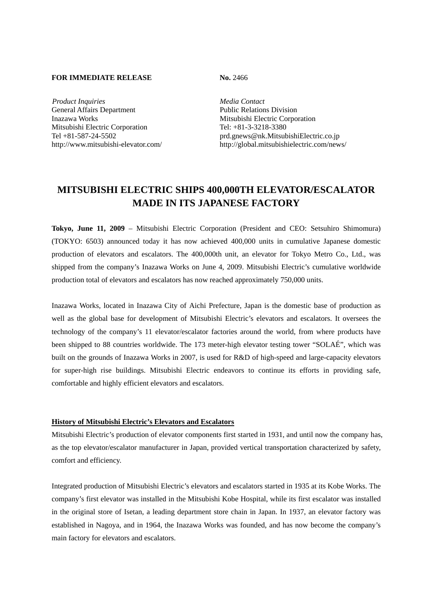## **FOR IMMEDIATE RELEASE No. 2466**

*Product Inquiries Media Contact* General Affairs Department Public Relations Division Inazawa Works Mitsubishi Electric Corporation Mitsubishi Electric Corporation Tel: +81-3-3218-3380

Tel +81-587-24-5502 prd.gnews@nk.MitsubishiElectric.co.jp http://www.mitsubishi-elevator.com/ http://global.mitsubishielectric.com/news/

## **MITSUBISHI ELECTRIC SHIPS 400,000TH ELEVATOR/ESCALATOR MADE IN ITS JAPANESE FACTORY**

**Tokyo, June 11, 2009** – Mitsubishi Electric Corporation (President and CEO: Setsuhiro Shimomura) (TOKYO: 6503) announced today it has now achieved 400,000 units in cumulative Japanese domestic production of elevators and escalators. The 400,000th unit, an elevator for Tokyo Metro Co., Ltd., was shipped from the company's Inazawa Works on June 4, 2009. Mitsubishi Electric's cumulative worldwide production total of elevators and escalators has now reached approximately 750,000 units.

Inazawa Works, located in Inazawa City of Aichi Prefecture, Japan is the domestic base of production as well as the global base for development of Mitsubishi Electric's elevators and escalators. It oversees the technology of the company's 11 elevator/escalator factories around the world, from where products have been shipped to 88 countries worldwide. The 173 meter-high elevator testing tower "SOLAÉ", which was built on the grounds of Inazawa Works in 2007, is used for R&D of high-speed and large-capacity elevators for super-high rise buildings. Mitsubishi Electric endeavors to continue its efforts in providing safe, comfortable and highly efficient elevators and escalators.

## **History of Mitsubishi Electric's Elevators and Escalators**

Mitsubishi Electric's production of elevator components first started in 1931, and until now the company has, as the top elevator/escalator manufacturer in Japan, provided vertical transportation characterized by safety, comfort and efficiency.

Integrated production of Mitsubishi Electric's elevators and escalators started in 1935 at its Kobe Works. The company's first elevator was installed in the Mitsubishi Kobe Hospital, while its first escalator was installed in the original store of Isetan, a leading department store chain in Japan. In 1937, an elevator factory was established in Nagoya, and in 1964, the Inazawa Works was founded, and has now become the company's main factory for elevators and escalators.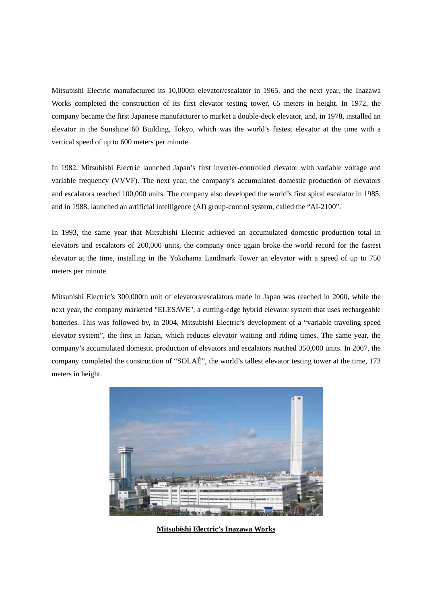Mitsubishi Electric manufactured its 10,000th elevator/escalator in 1965, and the next year, the Inazawa Works completed the construction of its first elevator testing tower, 65 meters in height. In 1972, the company became the first Japanese manufacturer to market a double-deck elevator, and, in 1978, installed an elevator in the Sunshine 60 Building, Tokyo, which was the world's fastest elevator at the time with a vertical speed of up to 600 meters per minute.

In 1982, Mitsubishi Electric launched Japan's first inverter-controlled elevator with variable voltage and variable frequency (VVVF). The next year, the company's accumulated domestic production of elevators and escalators reached 100,000 units. The company also developed the world's first spiral escalator in 1985, and in 1988, launched an artificial intelligence (AI) group-control system, called the "AI-2100".

In 1993, the same year that Mitsubishi Electric achieved an accumulated domestic production total in elevators and escalators of 200,000 units, the company once again broke the world record for the fastest elevator at the time, installing in the Yokohama Landmark Tower an elevator with a speed of up to 750 meters per minute.

Mitsubishi Electric's 300,000th unit of elevators/escalators made in Japan was reached in 2000, while the next year, the company marketed "ELESAVE", a cutting-edge hybrid elevator system that uses rechargeable batteries. This was followed by, in 2004, Mitsubishi Electric's development of a "variable traveling speed elevator system", the first in Japan, which reduces elevator waiting and riding times. The same year, the company's accumulated domestic production of elevators and escalators reached 350,000 units. In 2007, the company completed the construction of "SOLAÉ", the world's tallest elevator testing tower at the time, 173 meters in height.



**Mitsubishi Electric's Inazawa Works**